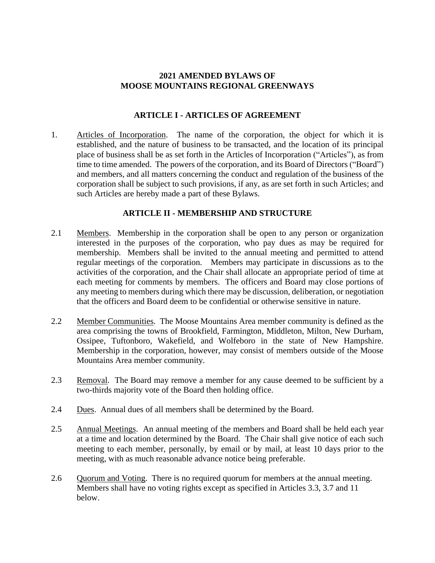#### **2021 AMENDED BYLAWS OF MOOSE MOUNTAINS REGIONAL GREENWAYS**

#### **ARTICLE I - ARTICLES OF AGREEMENT**

1. Articles of Incorporation. The name of the corporation, the object for which it is established, and the nature of business to be transacted, and the location of its principal place of business shall be as set forth in the Articles of Incorporation ("Articles"), as from time to time amended. The powers of the corporation, and its Board of Directors ("Board") and members, and all matters concerning the conduct and regulation of the business of the corporation shall be subject to such provisions, if any, as are set forth in such Articles; and such Articles are hereby made a part of these Bylaws.

# **ARTICLE II - MEMBERSHIP AND STRUCTURE**

- 2.1 Members. Membership in the corporation shall be open to any person or organization interested in the purposes of the corporation, who pay dues as may be required for membership. Members shall be invited to the annual meeting and permitted to attend regular meetings of the corporation. Members may participate in discussions as to the activities of the corporation, and the Chair shall allocate an appropriate period of time at each meeting for comments by members. The officers and Board may close portions of any meeting to members during which there may be discussion, deliberation, or negotiation that the officers and Board deem to be confidential or otherwise sensitive in nature.
- 2.2 Member Communities. The Moose Mountains Area member community is defined as the area comprising the towns of Brookfield, Farmington, Middleton, Milton, New Durham, Ossipee, Tuftonboro, Wakefield, and Wolfeboro in the state of New Hampshire. Membership in the corporation, however, may consist of members outside of the Moose Mountains Area member community.
- 2.3 Removal. The Board may remove a member for any cause deemed to be sufficient by a two-thirds majority vote of the Board then holding office.
- 2.4 Dues. Annual dues of all members shall be determined by the Board.
- 2.5 Annual Meetings. An annual meeting of the members and Board shall be held each year at a time and location determined by the Board. The Chair shall give notice of each such meeting to each member, personally, by email or by mail, at least 10 days prior to the meeting, with as much reasonable advance notice being preferable.
- 2.6 Quorum and Voting. There is no required quorum for members at the annual meeting. Members shall have no voting rights except as specified in Articles 3.3, 3.7 and 11 below.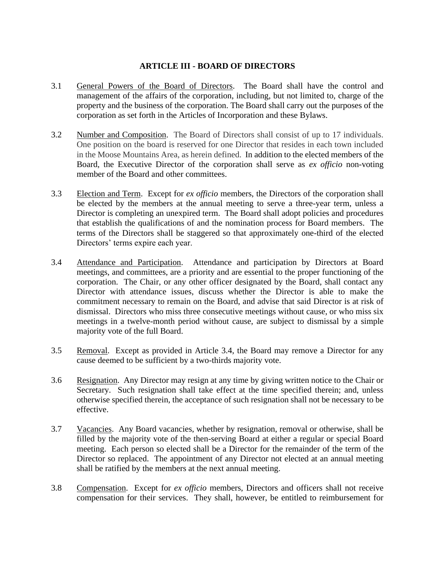# **ARTICLE III - BOARD OF DIRECTORS**

- 3.1 General Powers of the Board of Directors. The Board shall have the control and management of the affairs of the corporation, including, but not limited to, charge of the property and the business of the corporation. The Board shall carry out the purposes of the corporation as set forth in the Articles of Incorporation and these Bylaws.
- 3.2 Number and Composition. The Board of Directors shall consist of up to 17 individuals. One position on the board is reserved for one Director that resides in each town included in the Moose Mountains Area, as herein defined. In addition to the elected members of the Board, the Executive Director of the corporation shall serve as *ex officio* non-voting member of the Board and other committees.
- 3.3 Election and Term. Except for *ex officio* members, the Directors of the corporation shall be elected by the members at the annual meeting to serve a three-year term, unless a Director is completing an unexpired term. The Board shall adopt policies and procedures that establish the qualifications of and the nomination process for Board members. The terms of the Directors shall be staggered so that approximately one-third of the elected Directors' terms expire each year.
- 3.4 Attendance and Participation. Attendance and participation by Directors at Board meetings, and committees, are a priority and are essential to the proper functioning of the corporation. The Chair, or any other officer designated by the Board, shall contact any Director with attendance issues, discuss whether the Director is able to make the commitment necessary to remain on the Board, and advise that said Director is at risk of dismissal. Directors who miss three consecutive meetings without cause, or who miss six meetings in a twelve-month period without cause, are subject to dismissal by a simple majority vote of the full Board.
- 3.5 Removal. Except as provided in Article 3.4, the Board may remove a Director for any cause deemed to be sufficient by a two-thirds majority vote.
- 3.6 Resignation. Any Director may resign at any time by giving written notice to the Chair or Secretary. Such resignation shall take effect at the time specified therein; and, unless otherwise specified therein, the acceptance of such resignation shall not be necessary to be effective.
- 3.7 Vacancies. Any Board vacancies, whether by resignation, removal or otherwise, shall be filled by the majority vote of the then-serving Board at either a regular or special Board meeting. Each person so elected shall be a Director for the remainder of the term of the Director so replaced. The appointment of any Director not elected at an annual meeting shall be ratified by the members at the next annual meeting.
- 3.8 Compensation. Except for *ex officio* members, Directors and officers shall not receive compensation for their services. They shall, however, be entitled to reimbursement for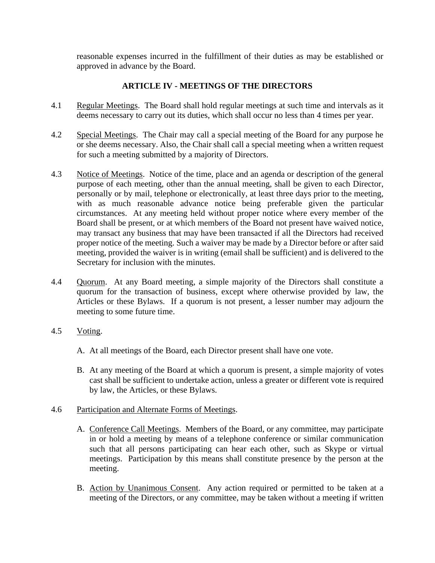reasonable expenses incurred in the fulfillment of their duties as may be established or approved in advance by the Board.

# **ARTICLE IV - MEETINGS OF THE DIRECTORS**

- 4.1 Regular Meetings. The Board shall hold regular meetings at such time and intervals as it deems necessary to carry out its duties, which shall occur no less than 4 times per year.
- 4.2 Special Meetings. The Chair may call a special meeting of the Board for any purpose he or she deems necessary. Also, the Chair shall call a special meeting when a written request for such a meeting submitted by a majority of Directors.
- 4.3 Notice of Meetings. Notice of the time, place and an agenda or description of the general purpose of each meeting, other than the annual meeting, shall be given to each Director, personally or by mail, telephone or electronically, at least three days prior to the meeting, with as much reasonable advance notice being preferable given the particular circumstances. At any meeting held without proper notice where every member of the Board shall be present, or at which members of the Board not present have waived notice, may transact any business that may have been transacted if all the Directors had received proper notice of the meeting. Such a waiver may be made by a Director before or after said meeting, provided the waiver is in writing (email shall be sufficient) and is delivered to the Secretary for inclusion with the minutes.
- 4.4 Quorum. At any Board meeting, a simple majority of the Directors shall constitute a quorum for the transaction of business, except where otherwise provided by law, the Articles or these Bylaws. If a quorum is not present, a lesser number may adjourn the meeting to some future time.
- 4.5 Voting.
	- A. At all meetings of the Board, each Director present shall have one vote.
	- B. At any meeting of the Board at which a quorum is present, a simple majority of votes cast shall be sufficient to undertake action, unless a greater or different vote is required by law, the Articles, or these Bylaws.
- 4.6 Participation and Alternate Forms of Meetings.
	- A. Conference Call Meetings. Members of the Board, or any committee, may participate in or hold a meeting by means of a telephone conference or similar communication such that all persons participating can hear each other, such as Skype or virtual meetings. Participation by this means shall constitute presence by the person at the meeting.
	- B. Action by Unanimous Consent. Any action required or permitted to be taken at a meeting of the Directors, or any committee, may be taken without a meeting if written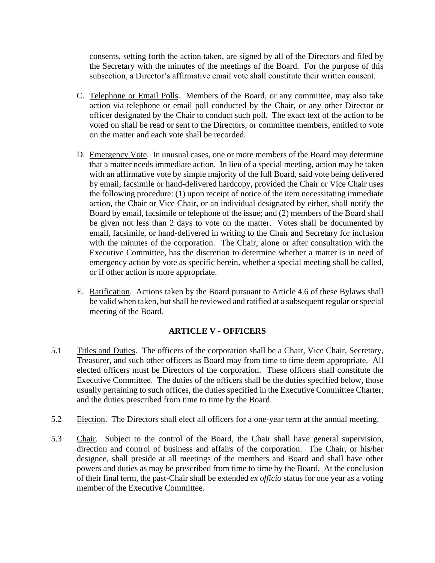consents, setting forth the action taken, are signed by all of the Directors and filed by the Secretary with the minutes of the meetings of the Board. For the purpose of this subsection, a Director's affirmative email vote shall constitute their written consent.

- C. Telephone or Email Polls. Members of the Board, or any committee, may also take action via telephone or email poll conducted by the Chair, or any other Director or officer designated by the Chair to conduct such poll. The exact text of the action to be voted on shall be read or sent to the Directors, or committee members, entitled to vote on the matter and each vote shall be recorded.
- D. Emergency Vote. In unusual cases, one or more members of the Board may determine that a matter needs immediate action. In lieu of a special meeting, action may be taken with an affirmative vote by simple majority of the full Board, said vote being delivered by email, facsimile or hand-delivered hardcopy, provided the Chair or Vice Chair uses the following procedure: (1) upon receipt of notice of the item necessitating immediate action, the Chair or Vice Chair, or an individual designated by either, shall notify the Board by email, facsimile or telephone of the issue; and (2) members of the Board shall be given not less than 2 days to vote on the matter. Votes shall be documented by email, facsimile, or hand-delivered in writing to the Chair and Secretary for inclusion with the minutes of the corporation. The Chair, alone or after consultation with the Executive Committee, has the discretion to determine whether a matter is in need of emergency action by vote as specific herein, whether a special meeting shall be called, or if other action is more appropriate.
- E. Ratification. Actions taken by the Board pursuant to Article 4.6 of these Bylaws shall be valid when taken, but shall be reviewed and ratified at a subsequent regular or special meeting of the Board.

# **ARTICLE V - OFFICERS**

- 5.1 Titles and Duties. The officers of the corporation shall be a Chair, Vice Chair, Secretary, Treasurer, and such other officers as Board may from time to time deem appropriate. All elected officers must be Directors of the corporation. These officers shall constitute the Executive Committee. The duties of the officers shall be the duties specified below, those usually pertaining to such offices, the duties specified in the Executive Committee Charter, and the duties prescribed from time to time by the Board.
- 5.2 Election. The Directors shall elect all officers for a one-year term at the annual meeting.
- 5.3 Chair. Subject to the control of the Board, the Chair shall have general supervision, direction and control of business and affairs of the corporation. The Chair, or his/her designee, shall preside at all meetings of the members and Board and shall have other powers and duties as may be prescribed from time to time by the Board. At the conclusion of their final term, the past-Chair shall be extended *ex officio* status for one year as a voting member of the Executive Committee.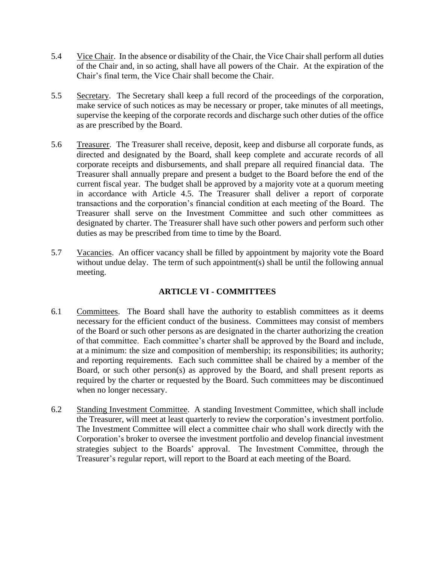- 5.4 Vice Chair. In the absence or disability of the Chair, the Vice Chair shall perform all duties of the Chair and, in so acting, shall have all powers of the Chair. At the expiration of the Chair's final term, the Vice Chair shall become the Chair.
- 5.5 Secretary. The Secretary shall keep a full record of the proceedings of the corporation, make service of such notices as may be necessary or proper, take minutes of all meetings, supervise the keeping of the corporate records and discharge such other duties of the office as are prescribed by the Board.
- 5.6 Treasurer. The Treasurer shall receive, deposit, keep and disburse all corporate funds, as directed and designated by the Board, shall keep complete and accurate records of all corporate receipts and disbursements, and shall prepare all required financial data. The Treasurer shall annually prepare and present a budget to the Board before the end of the current fiscal year. The budget shall be approved by a majority vote at a quorum meeting in accordance with Article 4.5. The Treasurer shall deliver a report of corporate transactions and the corporation's financial condition at each meeting of the Board. The Treasurer shall serve on the Investment Committee and such other committees as designated by charter. The Treasurer shall have such other powers and perform such other duties as may be prescribed from time to time by the Board.
- 5.7 Vacancies. An officer vacancy shall be filled by appointment by majority vote the Board without undue delay. The term of such appointment(s) shall be until the following annual meeting.

# **ARTICLE VI - COMMITTEES**

- 6.1 Committees. The Board shall have the authority to establish committees as it deems necessary for the efficient conduct of the business. Committees may consist of members of the Board or such other persons as are designated in the charter authorizing the creation of that committee. Each committee's charter shall be approved by the Board and include, at a minimum: the size and composition of membership; its responsibilities; its authority; and reporting requirements. Each such committee shall be chaired by a member of the Board, or such other person(s) as approved by the Board, and shall present reports as required by the charter or requested by the Board. Such committees may be discontinued when no longer necessary.
- 6.2 Standing Investment Committee. A standing Investment Committee, which shall include the Treasurer, will meet at least quarterly to review the corporation's investment portfolio. The Investment Committee will elect a committee chair who shall work directly with the Corporation's broker to oversee the investment portfolio and develop financial investment strategies subject to the Boards' approval. The Investment Committee, through the Treasurer's regular report, will report to the Board at each meeting of the Board.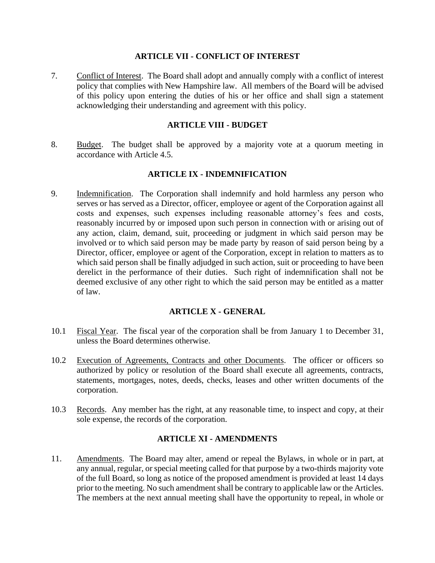#### **ARTICLE VII - CONFLICT OF INTEREST**

7. Conflict of Interest. The Board shall adopt and annually comply with a conflict of interest policy that complies with New Hampshire law. All members of the Board will be advised of this policy upon entering the duties of his or her office and shall sign a statement acknowledging their understanding and agreement with this policy.

#### **ARTICLE VIII - BUDGET**

8. Budget. The budget shall be approved by a majority vote at a quorum meeting in accordance with Article 4.5.

#### **ARTICLE IX - INDEMNIFICATION**

9. Indemnification. The Corporation shall indemnify and hold harmless any person who serves or has served as a Director, officer, employee or agent of the Corporation against all costs and expenses, such expenses including reasonable attorney's fees and costs, reasonably incurred by or imposed upon such person in connection with or arising out of any action, claim, demand, suit, proceeding or judgment in which said person may be involved or to which said person may be made party by reason of said person being by a Director, officer, employee or agent of the Corporation, except in relation to matters as to which said person shall be finally adjudged in such action, suit or proceeding to have been derelict in the performance of their duties. Such right of indemnification shall not be deemed exclusive of any other right to which the said person may be entitled as a matter of law.

# **ARTICLE X - GENERAL**

- 10.1 Fiscal Year. The fiscal year of the corporation shall be from January 1 to December 31, unless the Board determines otherwise.
- 10.2 Execution of Agreements, Contracts and other Documents. The officer or officers so authorized by policy or resolution of the Board shall execute all agreements, contracts, statements, mortgages, notes, deeds, checks, leases and other written documents of the corporation.
- 10.3 Records. Any member has the right, at any reasonable time, to inspect and copy, at their sole expense, the records of the corporation.

#### **ARTICLE XI - AMENDMENTS**

11. Amendments. The Board may alter, amend or repeal the Bylaws, in whole or in part, at any annual, regular, or special meeting called for that purpose by a two-thirds majority vote of the full Board, so long as notice of the proposed amendment is provided at least 14 days prior to the meeting. No such amendment shall be contrary to applicable law or the Articles. The members at the next annual meeting shall have the opportunity to repeal, in whole or